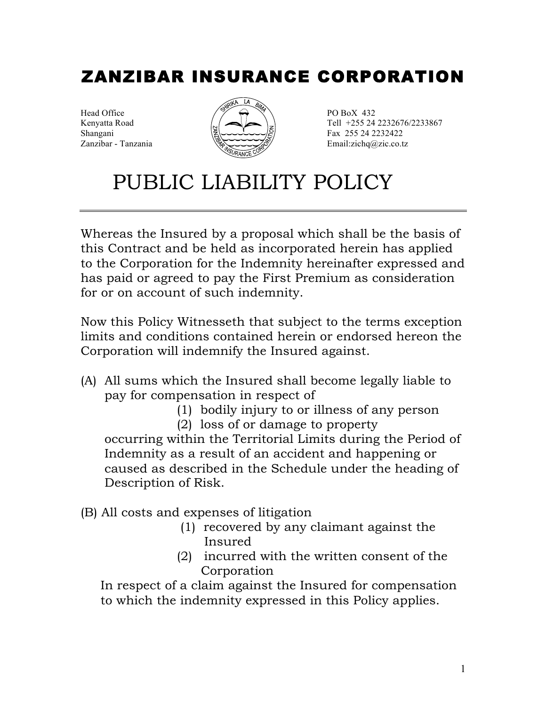# ZANZIBAR INSURANCE CORPORATION



Kenyatta Road  $\left( \sqrt{\frac{1}{2}} \right)$  Tell +255 24 2232676/2233867  $\mathbb{R}$  Fax 255 24 2232422 Zanzibar - Tanzania Email:zichq@zic.co.tz

# PUBLIC LIABILITY POLICY

Whereas the Insured by a proposal which shall be the basis of this Contract and be held as incorporated herein has applied to the Corporation for the Indemnity hereinafter expressed and has paid or agreed to pay the First Premium as consideration for or on account of such indemnity.

Now this Policy Witnesseth that subject to the terms exception limits and conditions contained herein or endorsed hereon the Corporation will indemnify the Insured against.

- (A) All sums which the Insured shall become legally liable to pay for compensation in respect of
	- (1) bodily injury to or illness of any person

(2) loss of or damage to property occurring within the Territorial Limits during the Period of Indemnity as a result of an accident and happening or caused as described in the Schedule under the heading of Description of Risk.

- (B) All costs and expenses of litigation
	- (1) recovered by any claimant against the Insured
	- (2) incurred with the written consent of the Corporation

 In respect of a claim against the Insured for compensation to which the indemnity expressed in this Policy applies.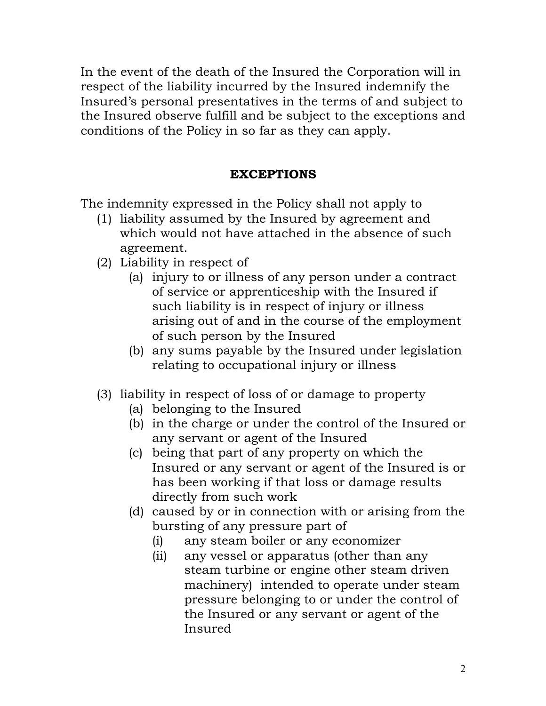In the event of the death of the Insured the Corporation will in respect of the liability incurred by the Insured indemnify the Insured's personal presentatives in the terms of and subject to the Insured observe fulfill and be subject to the exceptions and conditions of the Policy in so far as they can apply.

## **EXCEPTIONS**

The indemnity expressed in the Policy shall not apply to

- (1) liability assumed by the Insured by agreement and which would not have attached in the absence of such agreement.
- (2) Liability in respect of
	- (a) injury to or illness of any person under a contract of service or apprenticeship with the Insured if such liability is in respect of injury or illness arising out of and in the course of the employment of such person by the Insured
	- (b) any sums payable by the Insured under legislation relating to occupational injury or illness
- (3) liability in respect of loss of or damage to property
	- (a) belonging to the Insured
	- (b) in the charge or under the control of the Insured or any servant or agent of the Insured
	- (c) being that part of any property on which the Insured or any servant or agent of the Insured is or has been working if that loss or damage results directly from such work
	- (d) caused by or in connection with or arising from the bursting of any pressure part of
		- (i) any steam boiler or any economizer
		- (ii) any vessel or apparatus (other than any steam turbine or engine other steam driven machinery) intended to operate under steam pressure belonging to or under the control of the Insured or any servant or agent of the Insured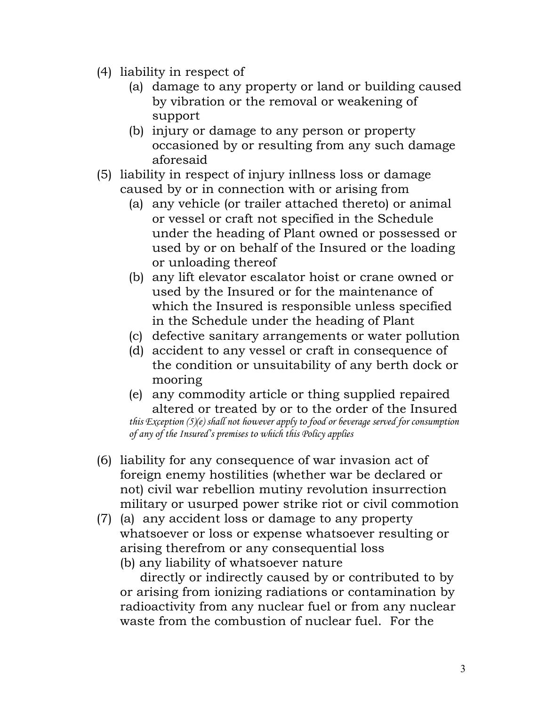- (4) liability in respect of
	- (a) damage to any property or land or building caused by vibration or the removal or weakening of support
	- (b) injury or damage to any person or property occasioned by or resulting from any such damage aforesaid
- (5) liability in respect of injury inllness loss or damage caused by or in connection with or arising from
	- (a) any vehicle (or trailer attached thereto) or animal or vessel or craft not specified in the Schedule under the heading of Plant owned or possessed or used by or on behalf of the Insured or the loading or unloading thereof
	- (b) any lift elevator escalator hoist or crane owned or used by the Insured or for the maintenance of which the Insured is responsible unless specified in the Schedule under the heading of Plant
	- (c) defective sanitary arrangements or water pollution
	- (d) accident to any vessel or craft in consequence of the condition or unsuitability of any berth dock or mooring
	- (e) any commodity article or thing supplied repaired altered or treated by or to the order of the Insured *this Exception (5)(e) shall not however apply to food or beverage served for consumption of any of the Insured's premises to which this Policy applies*
- (6) liability for any consequence of war invasion act of foreign enemy hostilities (whether war be declared or not) civil war rebellion mutiny revolution insurrection military or usurped power strike riot or civil commotion
- (7) (a) any accident loss or damage to any property whatsoever or loss or expense whatsoever resulting or arising therefrom or any consequential loss
	- (b) any liability of whatsoever nature

 directly or indirectly caused by or contributed to by or arising from ionizing radiations or contamination by radioactivity from any nuclear fuel or from any nuclear waste from the combustion of nuclear fuel. For the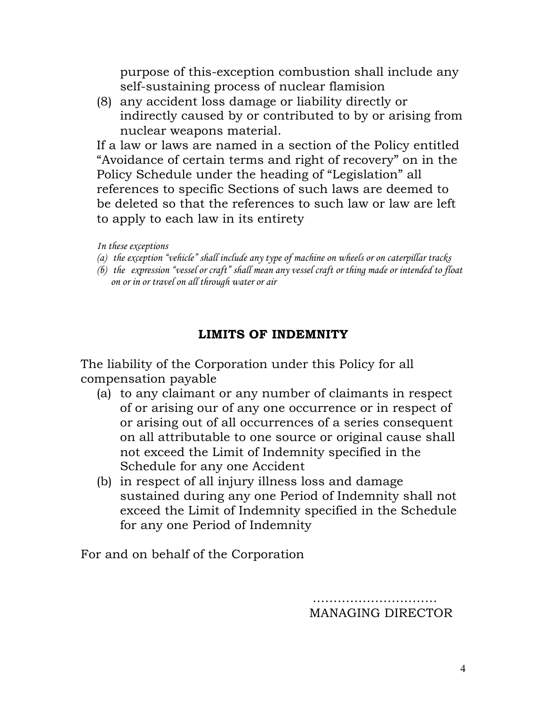purpose of this-exception combustion shall include any self-sustaining process of nuclear flamision

(8) any accident loss damage or liability directly or indirectly caused by or contributed to by or arising from nuclear weapons material.

If a law or laws are named in a section of the Policy entitled "Avoidance of certain terms and right of recovery" on in the Policy Schedule under the heading of "Legislation" all references to specific Sections of such laws are deemed to be deleted so that the references to such law or law are left to apply to each law in its entirety

*In these exceptions*

- *(a) the exception "vehicle" shall include any type of machine on wheels or on caterpillar tracks*
- *(b) the expression "vessel or craft" shall mean any vessel craft or thing made or intended to float on or in or travel on all through water or air*

### **LIMITS OF INDEMNITY**

The liability of the Corporation under this Policy for all compensation payable

- (a) to any claimant or any number of claimants in respect of or arising our of any one occurrence or in respect of or arising out of all occurrences of a series consequent on all attributable to one source or original cause shall not exceed the Limit of Indemnity specified in the Schedule for any one Accident
- (b) in respect of all injury illness loss and damage sustained during any one Period of Indemnity shall not exceed the Limit of Indemnity specified in the Schedule for any one Period of Indemnity

For and on behalf of the Corporation

…………………………… MANAGING DIRECTOR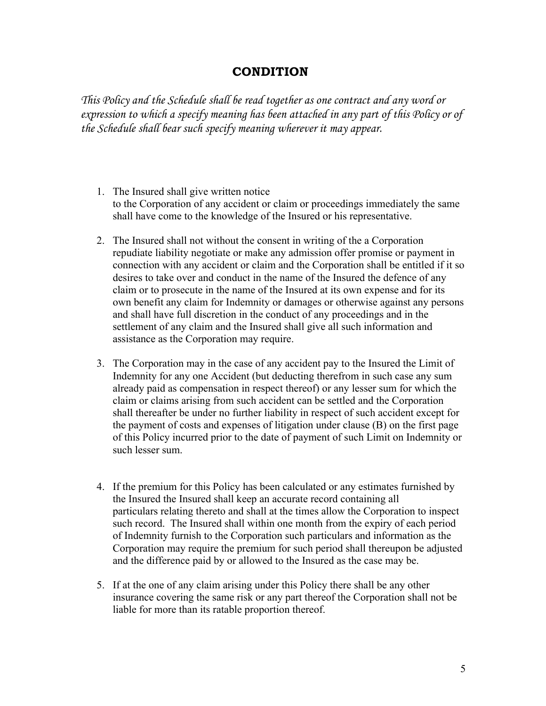#### **CONDITION**

*This Policy and the Schedule shall be read together as one contract and any word or expression to which a specify meaning has been attached in any part of this Policy or of the Schedule shall bear such specify meaning wherever it may appear.*

- 1. The Insured shall give written notice to the Corporation of any accident or claim or proceedings immediately the same shall have come to the knowledge of the Insured or his representative.
- 2. The Insured shall not without the consent in writing of the a Corporation repudiate liability negotiate or make any admission offer promise or payment in connection with any accident or claim and the Corporation shall be entitled if it so desires to take over and conduct in the name of the Insured the defence of any claim or to prosecute in the name of the Insured at its own expense and for its own benefit any claim for Indemnity or damages or otherwise against any persons and shall have full discretion in the conduct of any proceedings and in the settlement of any claim and the Insured shall give all such information and assistance as the Corporation may require.
- 3. The Corporation may in the case of any accident pay to the Insured the Limit of Indemnity for any one Accident (but deducting therefrom in such case any sum already paid as compensation in respect thereof) or any lesser sum for which the claim or claims arising from such accident can be settled and the Corporation shall thereafter be under no further liability in respect of such accident except for the payment of costs and expenses of litigation under clause (B) on the first page of this Policy incurred prior to the date of payment of such Limit on Indemnity or such lesser sum.
- 4. If the premium for this Policy has been calculated or any estimates furnished by the Insured the Insured shall keep an accurate record containing all particulars relating thereto and shall at the times allow the Corporation to inspect such record. The Insured shall within one month from the expiry of each period of Indemnity furnish to the Corporation such particulars and information as the Corporation may require the premium for such period shall thereupon be adjusted and the difference paid by or allowed to the Insured as the case may be.
- 5. If at the one of any claim arising under this Policy there shall be any other insurance covering the same risk or any part thereof the Corporation shall not be liable for more than its ratable proportion thereof.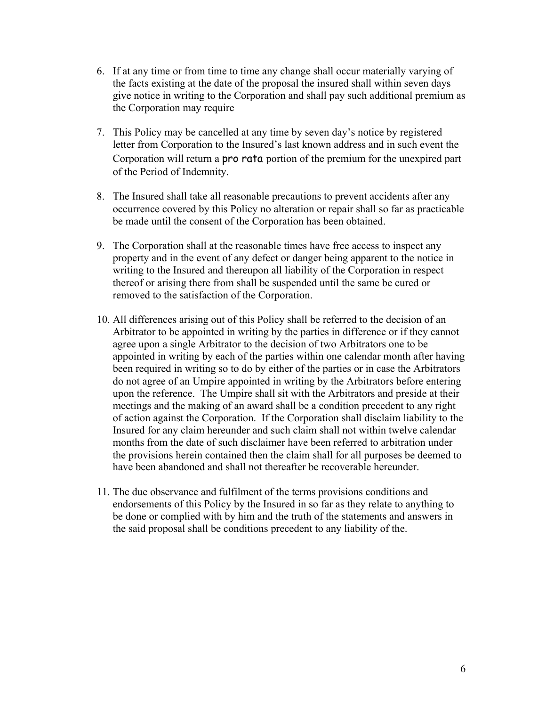- 6. If at any time or from time to time any change shall occur materially varying of the facts existing at the date of the proposal the insured shall within seven days give notice in writing to the Corporation and shall pay such additional premium as the Corporation may require
- 7. This Policy may be cancelled at any time by seven day's notice by registered letter from Corporation to the Insured's last known address and in such event the Corporation will return a pro rata portion of the premium for the unexpired part of the Period of Indemnity.
- 8. The Insured shall take all reasonable precautions to prevent accidents after any occurrence covered by this Policy no alteration or repair shall so far as practicable be made until the consent of the Corporation has been obtained.
- 9. The Corporation shall at the reasonable times have free access to inspect any property and in the event of any defect or danger being apparent to the notice in writing to the Insured and thereupon all liability of the Corporation in respect thereof or arising there from shall be suspended until the same be cured or removed to the satisfaction of the Corporation.
- 10. All differences arising out of this Policy shall be referred to the decision of an Arbitrator to be appointed in writing by the parties in difference or if they cannot agree upon a single Arbitrator to the decision of two Arbitrators one to be appointed in writing by each of the parties within one calendar month after having been required in writing so to do by either of the parties or in case the Arbitrators do not agree of an Umpire appointed in writing by the Arbitrators before entering upon the reference. The Umpire shall sit with the Arbitrators and preside at their meetings and the making of an award shall be a condition precedent to any right of action against the Corporation. If the Corporation shall disclaim liability to the Insured for any claim hereunder and such claim shall not within twelve calendar months from the date of such disclaimer have been referred to arbitration under the provisions herein contained then the claim shall for all purposes be deemed to have been abandoned and shall not thereafter be recoverable hereunder.
- 11. The due observance and fulfilment of the terms provisions conditions and endorsements of this Policy by the Insured in so far as they relate to anything to be done or complied with by him and the truth of the statements and answers in the said proposal shall be conditions precedent to any liability of the.